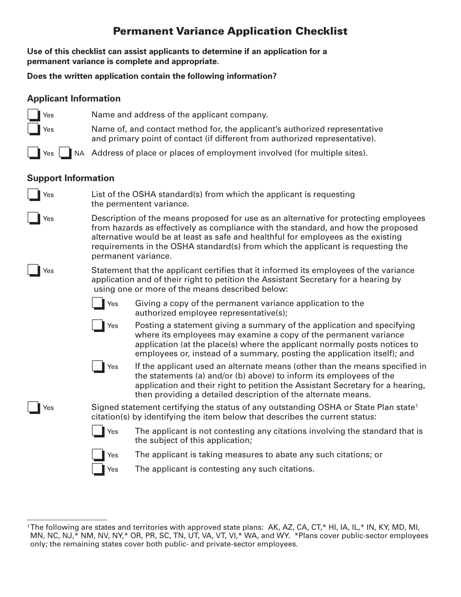## **Permanent Variance Application Checklist**

**Use of this checklist can assist applicants to determine if an application for a permanent variance is complete and appropriate.**

**Does the written application contain the following information?**

❏Yes Name and address of the applicant company.

## **Applicant Information**

| Yes                        | Name of, and contact method for, the applicant's authorized representative<br>and primary point of contact (if different from authorized representative).                                                                                                                                                                                                                |                                                                                                                                                                                                                                                                                                       |  |  |  |
|----------------------------|--------------------------------------------------------------------------------------------------------------------------------------------------------------------------------------------------------------------------------------------------------------------------------------------------------------------------------------------------------------------------|-------------------------------------------------------------------------------------------------------------------------------------------------------------------------------------------------------------------------------------------------------------------------------------------------------|--|--|--|
|                            | Yes <b>No.</b> NA Address of place or places of employment involved (for multiple sites).                                                                                                                                                                                                                                                                                |                                                                                                                                                                                                                                                                                                       |  |  |  |
| <b>Support Information</b> |                                                                                                                                                                                                                                                                                                                                                                          |                                                                                                                                                                                                                                                                                                       |  |  |  |
| Yes                        | List of the OSHA standard(s) from which the applicant is requesting<br>the permentent variance.                                                                                                                                                                                                                                                                          |                                                                                                                                                                                                                                                                                                       |  |  |  |
| Yes                        | Description of the means proposed for use as an alternative for protecting employees<br>from hazards as effectively as compliance with the standard, and how the proposed<br>alternative would be at least as safe and healthful for employees as the existing<br>requirements in the OSHA standard(s) from which the applicant is requesting the<br>permanent variance. |                                                                                                                                                                                                                                                                                                       |  |  |  |
| Yes                        | Statement that the applicant certifies that it informed its employees of the variance<br>application and of their right to petition the Assistant Secretary for a hearing by<br>using one or more of the means described below:                                                                                                                                          |                                                                                                                                                                                                                                                                                                       |  |  |  |
|                            | Yes                                                                                                                                                                                                                                                                                                                                                                      | Giving a copy of the permanent variance application to the<br>authorized employee representative(s);                                                                                                                                                                                                  |  |  |  |
|                            | Yes                                                                                                                                                                                                                                                                                                                                                                      | Posting a statement giving a summary of the application and specifying<br>where its employees may examine a copy of the permanent variance<br>application (at the place(s) where the applicant normally posts notices to<br>employees or, instead of a summary, posting the application itself); and  |  |  |  |
|                            | Yes                                                                                                                                                                                                                                                                                                                                                                      | If the applicant used an alternate means (other than the means specified in<br>the statements (a) and/or (b) above) to inform its employees of the<br>application and their right to petition the Assistant Secretary for a hearing,<br>then providing a detailed description of the alternate means. |  |  |  |
| Yes                        | Signed statement certifying the status of any outstanding OSHA or State Plan state <sup>1</sup><br>citation(s) by identifying the item below that describes the current status:                                                                                                                                                                                          |                                                                                                                                                                                                                                                                                                       |  |  |  |
|                            | Yes                                                                                                                                                                                                                                                                                                                                                                      | The applicant is not contesting any citations involving the standard that is<br>the subject of this application;                                                                                                                                                                                      |  |  |  |
|                            | Yes                                                                                                                                                                                                                                                                                                                                                                      | The applicant is taking measures to abate any such citations; or                                                                                                                                                                                                                                      |  |  |  |
|                            | Yes                                                                                                                                                                                                                                                                                                                                                                      | The applicant is contesting any such citations.                                                                                                                                                                                                                                                       |  |  |  |
|                            |                                                                                                                                                                                                                                                                                                                                                                          |                                                                                                                                                                                                                                                                                                       |  |  |  |

<sup>&</sup>lt;sup>1</sup>The following are states and territories with approved state plans: AK, AZ, CA, CT,\* HI, IA, IL,\* IN, KY, MD, MI, MN, NC, NJ,\* NM, NV, NY,\* OR, PR, SC, TN, UT, VA, VT, VI,\* WA, and WY. \*Plans cover public-sector employees only; the remaining states cover both public- and private-sector employees.